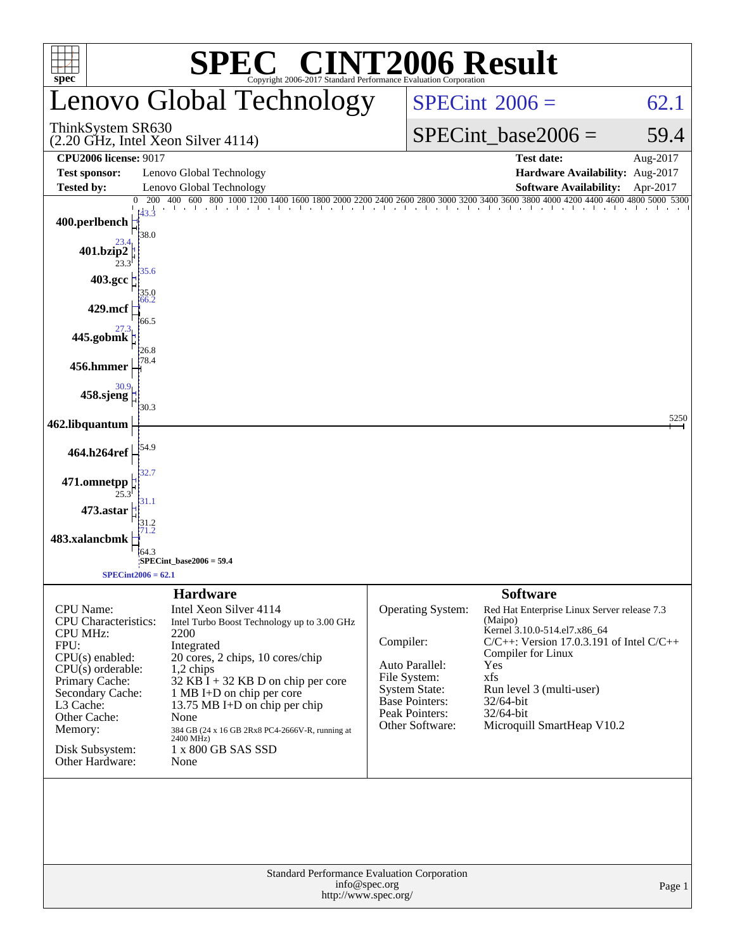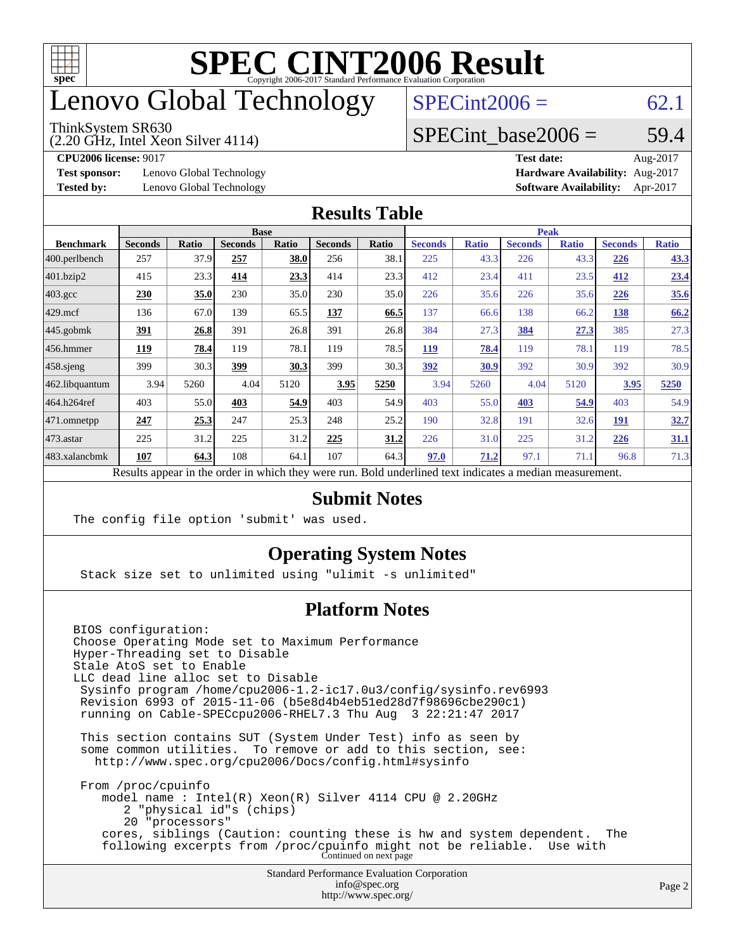

# enovo Global Technology

#### ThinkSystem SR630

(2.20 GHz, Intel Xeon Silver 4114)

 $SPECint2006 = 62.1$  $SPECint2006 = 62.1$ 

#### SPECint base2006 =  $59.4$

**[Test sponsor:](http://www.spec.org/auto/cpu2006/Docs/result-fields.html#Testsponsor)** Lenovo Global Technology **[Hardware Availability:](http://www.spec.org/auto/cpu2006/Docs/result-fields.html#HardwareAvailability)** Aug-2017

**[CPU2006 license:](http://www.spec.org/auto/cpu2006/Docs/result-fields.html#CPU2006license)** 9017 **[Test date:](http://www.spec.org/auto/cpu2006/Docs/result-fields.html#Testdate)** Aug-2017 **[Tested by:](http://www.spec.org/auto/cpu2006/Docs/result-fields.html#Testedby)** Lenovo Global Technology **[Software Availability:](http://www.spec.org/auto/cpu2006/Docs/result-fields.html#SoftwareAvailability)** Apr-2017

#### **[Results Table](http://www.spec.org/auto/cpu2006/Docs/result-fields.html#ResultsTable)**

|                                                                                                          |                |              | <b>Base</b>    |              |                |              |                |              | <b>Peak</b>    |              |                |              |
|----------------------------------------------------------------------------------------------------------|----------------|--------------|----------------|--------------|----------------|--------------|----------------|--------------|----------------|--------------|----------------|--------------|
| <b>Benchmark</b>                                                                                         | <b>Seconds</b> | <b>Ratio</b> | <b>Seconds</b> | <b>Ratio</b> | <b>Seconds</b> | <b>Ratio</b> | <b>Seconds</b> | <b>Ratio</b> | <b>Seconds</b> | <b>Ratio</b> | <b>Seconds</b> | <b>Ratio</b> |
| 400.perlbench                                                                                            | 257            | 37.9         | 257            | 38.0         | 256            | 38.1         | 225            | 43.3         | 226            | 43.3         | 226            | 43.3         |
| 401.bzip2                                                                                                | 415            | 23.3         | 414            | 23.3         | 414            | 23.3         | 412            | 23.4         | 411            | 23.5         | 412            | 23.4         |
| $403.\mathrm{gcc}$                                                                                       | 230            | 35.0         | 230            | 35.0         | 230            | 35.0         | 226            | 35.6         | 226            | 35.6         | 226            | 35.6         |
| $429$ mcf                                                                                                | 136            | 67.0         | 139            | 65.5         | 137            | 66.5         | 137            | 66.6         | 138            | 66.2         | 138            | 66.2         |
| $445$ .gobmk                                                                                             | <u>391</u>     | 26.8         | 391            | 26.8         | 391            | 26.8         | 384            | 27.3         | 384            | 27.3         | 385            | 27.3         |
| 456.hmmer                                                                                                | 119            | 78.4         | 119            | 78.1         | 119            | 78.5         | <b>119</b>     | 78.4         | 119            | 78.1         | 119            | 78.5         |
| $458$ .sjeng                                                                                             | 399            | 30.3         | 399            | 30.3         | 399            | 30.3         | 392            | 30.9         | 392            | 30.9         | 392            | 30.9         |
| 462.libquantum                                                                                           | 3.94           | 5260         | 4.04           | 5120         | 3.95           | 5250         | 3.94           | 5260         | 4.04           | 5120         | 3.95           | 5250         |
| 464.h264ref                                                                                              | 403            | 55.0         | 403            | 54.9         | 403            | 54.9         | 403            | 55.0         | 403            | 54.9         | 403            | 54.9         |
| 471.omnetpp                                                                                              | 247            | 25.3         | 247            | 25.3         | 248            | 25.2         | 190            | 32.8         | 191            | 32.6         | <b>191</b>     | 32.7         |
| $473$ . astar                                                                                            | 225            | 31.2         | 225            | 31.2         | 225            | 31.2         | 226            | 31.0         | 225            | 31.2         | 226            | 31.1         |
| 483.xalancbmk                                                                                            | 107            | 64.3         | 108            | 64.1         | 107            | 64.3         | 97.0           | 71.2         | 97.1           | 71.1         | 96.8           | 71.3         |
| Results appear in the order in which they were run. Bold underlined text indicates a median measurement. |                |              |                |              |                |              |                |              |                |              |                |              |

#### **[Submit Notes](http://www.spec.org/auto/cpu2006/Docs/result-fields.html#SubmitNotes)**

The config file option 'submit' was used.

#### **[Operating System Notes](http://www.spec.org/auto/cpu2006/Docs/result-fields.html#OperatingSystemNotes)**

Stack size set to unlimited using "ulimit -s unlimited"

#### **[Platform Notes](http://www.spec.org/auto/cpu2006/Docs/result-fields.html#PlatformNotes)**

Standard Performance Evaluation Corporation [info@spec.org](mailto:info@spec.org) BIOS configuration: Choose Operating Mode set to Maximum Performance Hyper-Threading set to Disable Stale AtoS set to Enable LLC dead line alloc set to Disable Sysinfo program /home/cpu2006-1.2-ic17.0u3/config/sysinfo.rev6993 Revision 6993 of 2015-11-06 (b5e8d4b4eb51ed28d7f98696cbe290c1) running on Cable-SPECcpu2006-RHEL7.3 Thu Aug 3 22:21:47 2017 This section contains SUT (System Under Test) info as seen by some common utilities. To remove or add to this section, see: <http://www.spec.org/cpu2006/Docs/config.html#sysinfo> From /proc/cpuinfo model name : Intel(R) Xeon(R) Silver 4114 CPU @ 2.20GHz 2 "physical id"s (chips) 20 "processors" cores, siblings (Caution: counting these is hw and system dependent. The following excerpts from /proc/cpuinfo might not be reliable. Use with Continued on next page

<http://www.spec.org/>

Page 2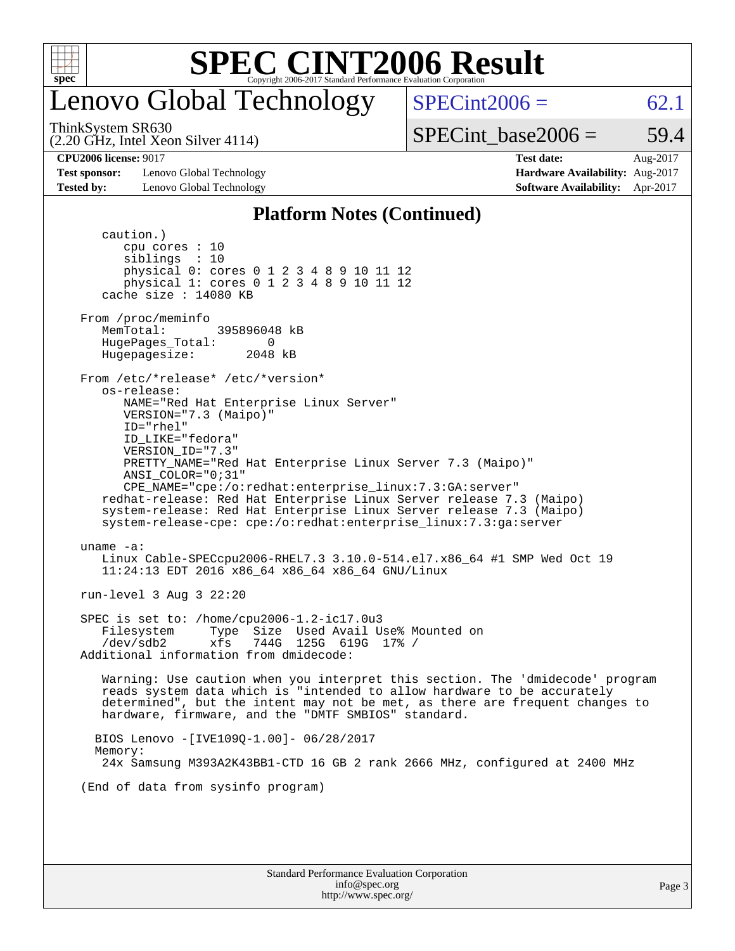

### enovo Global Technology

ThinkSystem SR630

(2.20 GHz, Intel Xeon Silver 4114)

 $SPECint2006 = 62.1$  $SPECint2006 = 62.1$ 

SPECint base2006 =  $59.4$ 

**[Test sponsor:](http://www.spec.org/auto/cpu2006/Docs/result-fields.html#Testsponsor)** Lenovo Global Technology **[Hardware Availability:](http://www.spec.org/auto/cpu2006/Docs/result-fields.html#HardwareAvailability)** Aug-2017 **[Tested by:](http://www.spec.org/auto/cpu2006/Docs/result-fields.html#Testedby)** Lenovo Global Technology **[Software Availability:](http://www.spec.org/auto/cpu2006/Docs/result-fields.html#SoftwareAvailability)** Apr-2017

**[CPU2006 license:](http://www.spec.org/auto/cpu2006/Docs/result-fields.html#CPU2006license)** 9017 **[Test date:](http://www.spec.org/auto/cpu2006/Docs/result-fields.html#Testdate)** Aug-2017

#### **[Platform Notes \(Continued\)](http://www.spec.org/auto/cpu2006/Docs/result-fields.html#PlatformNotes)**

 caution.) cpu cores : 10 siblings : 10 physical 0: cores 0 1 2 3 4 8 9 10 11 12 physical 1: cores 0 1 2 3 4 8 9 10 11 12 cache size : 14080 KB From /proc/meminfo MemTotal: 395896048 kB HugePages\_Total: 0<br>Hugepagesize: 2048 kB Hugepagesize: From /etc/\*release\* /etc/\*version\* os-release: NAME="Red Hat Enterprise Linux Server" VERSION="7.3 (Maipo)" ID="rhel" ID\_LIKE="fedora" VERSION\_ID="7.3" PRETTY\_NAME="Red Hat Enterprise Linux Server 7.3 (Maipo)" ANSI\_COLOR="0;31" CPE\_NAME="cpe:/o:redhat:enterprise\_linux:7.3:GA:server" redhat-release: Red Hat Enterprise Linux Server release 7.3 (Maipo) system-release: Red Hat Enterprise Linux Server release 7.3 (Maipo) system-release-cpe: cpe:/o:redhat:enterprise\_linux:7.3:ga:server uname -a: Linux Cable-SPECcpu2006-RHEL7.3 3.10.0-514.el7.x86\_64 #1 SMP Wed Oct 19 11:24:13 EDT 2016 x86\_64 x86\_64 x86\_64 GNU/Linux run-level 3 Aug 3 22:20 SPEC is set to: /home/cpu2006-1.2-ic17.0u3 Filesystem Type Size Used Avail Use% Mounted on /dev/sdb2 xfs 744G 125G 619G 17% / Additional information from dmidecode: Warning: Use caution when you interpret this section. The 'dmidecode' program reads system data which is "intended to allow hardware to be accurately determined", but the intent may not be met, as there are frequent changes to hardware, firmware, and the "DMTF SMBIOS" standard. BIOS Lenovo -[IVE109Q-1.00]- 06/28/2017 Memory: 24x Samsung M393A2K43BB1-CTD 16 GB 2 rank 2666 MHz, configured at 2400 MHz (End of data from sysinfo program)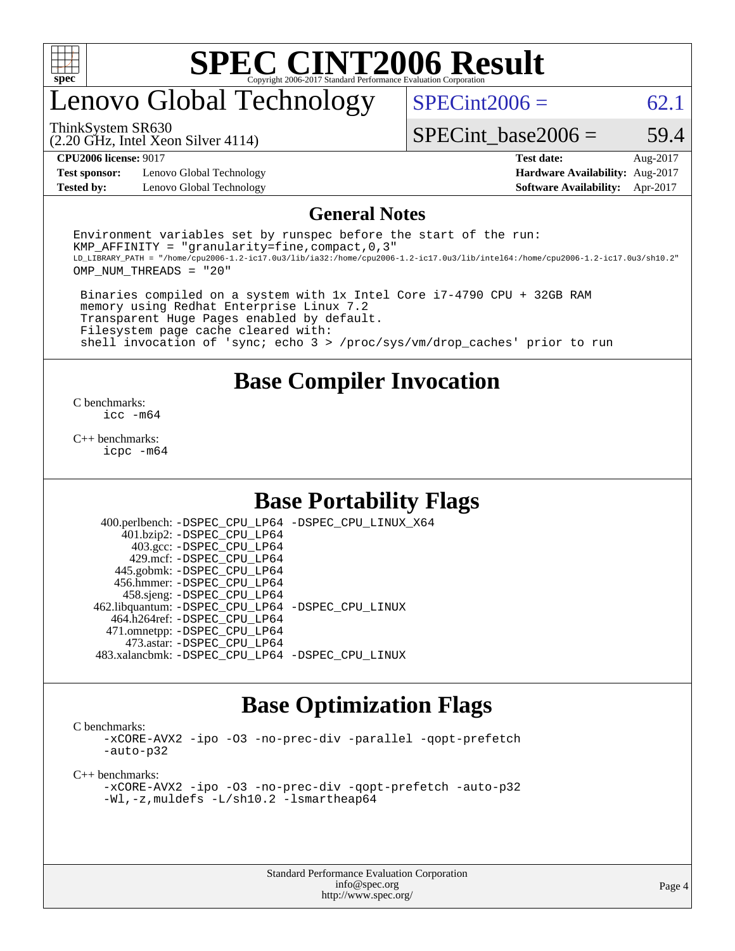

# enovo Global Technology

 $SPECint2006 = 62.1$  $SPECint2006 = 62.1$ 

(2.20 GHz, Intel Xeon Silver 4114) ThinkSystem SR630

SPECint base2006 =  $59.4$ 

**[Test sponsor:](http://www.spec.org/auto/cpu2006/Docs/result-fields.html#Testsponsor)** Lenovo Global Technology **[Hardware Availability:](http://www.spec.org/auto/cpu2006/Docs/result-fields.html#HardwareAvailability)** Aug-2017 **[Tested by:](http://www.spec.org/auto/cpu2006/Docs/result-fields.html#Testedby)** Lenovo Global Technology **[Software Availability:](http://www.spec.org/auto/cpu2006/Docs/result-fields.html#SoftwareAvailability)** Apr-2017

**[CPU2006 license:](http://www.spec.org/auto/cpu2006/Docs/result-fields.html#CPU2006license)** 9017 **[Test date:](http://www.spec.org/auto/cpu2006/Docs/result-fields.html#Testdate)** Aug-2017

#### **[General Notes](http://www.spec.org/auto/cpu2006/Docs/result-fields.html#GeneralNotes)**

Environment variables set by runspec before the start of the run: KMP AFFINITY = "granularity=fine, compact,  $0,3$ " LD\_LIBRARY\_PATH = "/home/cpu2006-1.2-ic17.0u3/lib/ia32:/home/cpu2006-1.2-ic17.0u3/lib/intel64:/home/cpu2006-1.2-ic17.0u3/sh10.2" OMP\_NUM\_THREADS = "20"

 Binaries compiled on a system with 1x Intel Core i7-4790 CPU + 32GB RAM memory using Redhat Enterprise Linux 7.2 Transparent Huge Pages enabled by default. Filesystem page cache cleared with: shell invocation of 'sync; echo 3 > /proc/sys/vm/drop\_caches' prior to run

#### **[Base Compiler Invocation](http://www.spec.org/auto/cpu2006/Docs/result-fields.html#BaseCompilerInvocation)**

[C benchmarks](http://www.spec.org/auto/cpu2006/Docs/result-fields.html#Cbenchmarks): [icc -m64](http://www.spec.org/cpu2006/results/res2017q4/cpu2006-20170918-49470.flags.html#user_CCbase_intel_icc_64bit_bda6cc9af1fdbb0edc3795bac97ada53)

[C++ benchmarks:](http://www.spec.org/auto/cpu2006/Docs/result-fields.html#CXXbenchmarks) [icpc -m64](http://www.spec.org/cpu2006/results/res2017q4/cpu2006-20170918-49470.flags.html#user_CXXbase_intel_icpc_64bit_fc66a5337ce925472a5c54ad6a0de310)

#### **[Base Portability Flags](http://www.spec.org/auto/cpu2006/Docs/result-fields.html#BasePortabilityFlags)**

 400.perlbench: [-DSPEC\\_CPU\\_LP64](http://www.spec.org/cpu2006/results/res2017q4/cpu2006-20170918-49470.flags.html#b400.perlbench_basePORTABILITY_DSPEC_CPU_LP64) [-DSPEC\\_CPU\\_LINUX\\_X64](http://www.spec.org/cpu2006/results/res2017q4/cpu2006-20170918-49470.flags.html#b400.perlbench_baseCPORTABILITY_DSPEC_CPU_LINUX_X64) 401.bzip2: [-DSPEC\\_CPU\\_LP64](http://www.spec.org/cpu2006/results/res2017q4/cpu2006-20170918-49470.flags.html#suite_basePORTABILITY401_bzip2_DSPEC_CPU_LP64) 403.gcc: [-DSPEC\\_CPU\\_LP64](http://www.spec.org/cpu2006/results/res2017q4/cpu2006-20170918-49470.flags.html#suite_basePORTABILITY403_gcc_DSPEC_CPU_LP64) 429.mcf: [-DSPEC\\_CPU\\_LP64](http://www.spec.org/cpu2006/results/res2017q4/cpu2006-20170918-49470.flags.html#suite_basePORTABILITY429_mcf_DSPEC_CPU_LP64) 445.gobmk: [-DSPEC\\_CPU\\_LP64](http://www.spec.org/cpu2006/results/res2017q4/cpu2006-20170918-49470.flags.html#suite_basePORTABILITY445_gobmk_DSPEC_CPU_LP64) 456.hmmer: [-DSPEC\\_CPU\\_LP64](http://www.spec.org/cpu2006/results/res2017q4/cpu2006-20170918-49470.flags.html#suite_basePORTABILITY456_hmmer_DSPEC_CPU_LP64) 458.sjeng: [-DSPEC\\_CPU\\_LP64](http://www.spec.org/cpu2006/results/res2017q4/cpu2006-20170918-49470.flags.html#suite_basePORTABILITY458_sjeng_DSPEC_CPU_LP64) 462.libquantum: [-DSPEC\\_CPU\\_LP64](http://www.spec.org/cpu2006/results/res2017q4/cpu2006-20170918-49470.flags.html#suite_basePORTABILITY462_libquantum_DSPEC_CPU_LP64) [-DSPEC\\_CPU\\_LINUX](http://www.spec.org/cpu2006/results/res2017q4/cpu2006-20170918-49470.flags.html#b462.libquantum_baseCPORTABILITY_DSPEC_CPU_LINUX) 464.h264ref: [-DSPEC\\_CPU\\_LP64](http://www.spec.org/cpu2006/results/res2017q4/cpu2006-20170918-49470.flags.html#suite_basePORTABILITY464_h264ref_DSPEC_CPU_LP64) 471.omnetpp: [-DSPEC\\_CPU\\_LP64](http://www.spec.org/cpu2006/results/res2017q4/cpu2006-20170918-49470.flags.html#suite_basePORTABILITY471_omnetpp_DSPEC_CPU_LP64) 473.astar: [-DSPEC\\_CPU\\_LP64](http://www.spec.org/cpu2006/results/res2017q4/cpu2006-20170918-49470.flags.html#suite_basePORTABILITY473_astar_DSPEC_CPU_LP64) 483.xalancbmk: [-DSPEC\\_CPU\\_LP64](http://www.spec.org/cpu2006/results/res2017q4/cpu2006-20170918-49470.flags.html#suite_basePORTABILITY483_xalancbmk_DSPEC_CPU_LP64) [-DSPEC\\_CPU\\_LINUX](http://www.spec.org/cpu2006/results/res2017q4/cpu2006-20170918-49470.flags.html#b483.xalancbmk_baseCXXPORTABILITY_DSPEC_CPU_LINUX)

### **[Base Optimization Flags](http://www.spec.org/auto/cpu2006/Docs/result-fields.html#BaseOptimizationFlags)**

[C benchmarks](http://www.spec.org/auto/cpu2006/Docs/result-fields.html#Cbenchmarks):

[-xCORE-AVX2](http://www.spec.org/cpu2006/results/res2017q4/cpu2006-20170918-49470.flags.html#user_CCbase_f-xCORE-AVX2) [-ipo](http://www.spec.org/cpu2006/results/res2017q4/cpu2006-20170918-49470.flags.html#user_CCbase_f-ipo) [-O3](http://www.spec.org/cpu2006/results/res2017q4/cpu2006-20170918-49470.flags.html#user_CCbase_f-O3) [-no-prec-div](http://www.spec.org/cpu2006/results/res2017q4/cpu2006-20170918-49470.flags.html#user_CCbase_f-no-prec-div) [-parallel](http://www.spec.org/cpu2006/results/res2017q4/cpu2006-20170918-49470.flags.html#user_CCbase_f-parallel) [-qopt-prefetch](http://www.spec.org/cpu2006/results/res2017q4/cpu2006-20170918-49470.flags.html#user_CCbase_f-qopt-prefetch) [-auto-p32](http://www.spec.org/cpu2006/results/res2017q4/cpu2006-20170918-49470.flags.html#user_CCbase_f-auto-p32)

[C++ benchmarks:](http://www.spec.org/auto/cpu2006/Docs/result-fields.html#CXXbenchmarks)

[-xCORE-AVX2](http://www.spec.org/cpu2006/results/res2017q4/cpu2006-20170918-49470.flags.html#user_CXXbase_f-xCORE-AVX2) [-ipo](http://www.spec.org/cpu2006/results/res2017q4/cpu2006-20170918-49470.flags.html#user_CXXbase_f-ipo) [-O3](http://www.spec.org/cpu2006/results/res2017q4/cpu2006-20170918-49470.flags.html#user_CXXbase_f-O3) [-no-prec-div](http://www.spec.org/cpu2006/results/res2017q4/cpu2006-20170918-49470.flags.html#user_CXXbase_f-no-prec-div) [-qopt-prefetch](http://www.spec.org/cpu2006/results/res2017q4/cpu2006-20170918-49470.flags.html#user_CXXbase_f-qopt-prefetch) [-auto-p32](http://www.spec.org/cpu2006/results/res2017q4/cpu2006-20170918-49470.flags.html#user_CXXbase_f-auto-p32) [-Wl,-z,muldefs](http://www.spec.org/cpu2006/results/res2017q4/cpu2006-20170918-49470.flags.html#user_CXXbase_link_force_multiple1_74079c344b956b9658436fd1b6dd3a8a) [-L/sh10.2 -lsmartheap64](http://www.spec.org/cpu2006/results/res2017q4/cpu2006-20170918-49470.flags.html#user_CXXbase_SmartHeap64_63911d860fc08c15fa1d5bf319b9d8d5)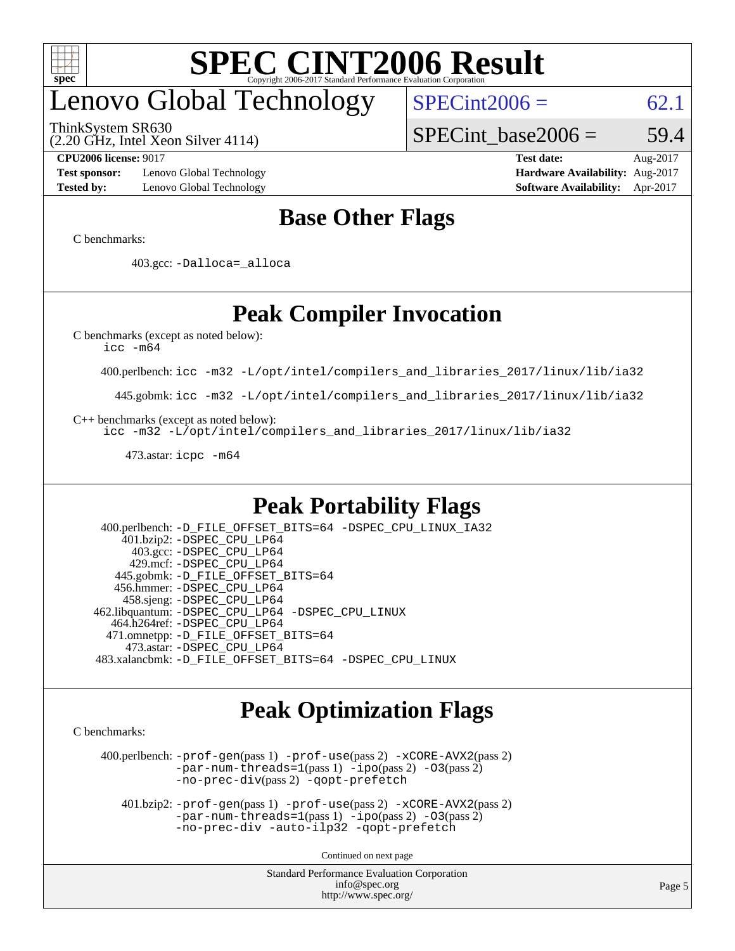

# enovo Global Technology

ThinkSystem SR630

(2.20 GHz, Intel Xeon Silver 4114)

 $SPECint2006 = 62.1$  $SPECint2006 = 62.1$ 

SPECint base2006 =  $59.4$ 

**[Test sponsor:](http://www.spec.org/auto/cpu2006/Docs/result-fields.html#Testsponsor)** Lenovo Global Technology **[Hardware Availability:](http://www.spec.org/auto/cpu2006/Docs/result-fields.html#HardwareAvailability)** Aug-2017 **[Tested by:](http://www.spec.org/auto/cpu2006/Docs/result-fields.html#Testedby)** Lenovo Global Technology **[Software Availability:](http://www.spec.org/auto/cpu2006/Docs/result-fields.html#SoftwareAvailability)** Apr-2017

**[CPU2006 license:](http://www.spec.org/auto/cpu2006/Docs/result-fields.html#CPU2006license)** 9017 **[Test date:](http://www.spec.org/auto/cpu2006/Docs/result-fields.html#Testdate)** Aug-2017

### **[Base Other Flags](http://www.spec.org/auto/cpu2006/Docs/result-fields.html#BaseOtherFlags)**

[C benchmarks](http://www.spec.org/auto/cpu2006/Docs/result-fields.html#Cbenchmarks):

403.gcc: [-Dalloca=\\_alloca](http://www.spec.org/cpu2006/results/res2017q4/cpu2006-20170918-49470.flags.html#b403.gcc_baseEXTRA_CFLAGS_Dalloca_be3056838c12de2578596ca5467af7f3)

### **[Peak Compiler Invocation](http://www.spec.org/auto/cpu2006/Docs/result-fields.html#PeakCompilerInvocation)**

[C benchmarks \(except as noted below\)](http://www.spec.org/auto/cpu2006/Docs/result-fields.html#Cbenchmarksexceptasnotedbelow):

[icc -m64](http://www.spec.org/cpu2006/results/res2017q4/cpu2006-20170918-49470.flags.html#user_CCpeak_intel_icc_64bit_bda6cc9af1fdbb0edc3795bac97ada53)

400.perlbench: [icc -m32 -L/opt/intel/compilers\\_and\\_libraries\\_2017/linux/lib/ia32](http://www.spec.org/cpu2006/results/res2017q4/cpu2006-20170918-49470.flags.html#user_peakCCLD400_perlbench_intel_icc_c29f3ff5a7ed067b11e4ec10a03f03ae)

445.gobmk: [icc -m32 -L/opt/intel/compilers\\_and\\_libraries\\_2017/linux/lib/ia32](http://www.spec.org/cpu2006/results/res2017q4/cpu2006-20170918-49470.flags.html#user_peakCCLD445_gobmk_intel_icc_c29f3ff5a7ed067b11e4ec10a03f03ae)

[C++ benchmarks \(except as noted below\):](http://www.spec.org/auto/cpu2006/Docs/result-fields.html#CXXbenchmarksexceptasnotedbelow)

[icc -m32 -L/opt/intel/compilers\\_and\\_libraries\\_2017/linux/lib/ia32](http://www.spec.org/cpu2006/results/res2017q4/cpu2006-20170918-49470.flags.html#user_CXXpeak_intel_icc_c29f3ff5a7ed067b11e4ec10a03f03ae)

473.astar: [icpc -m64](http://www.spec.org/cpu2006/results/res2017q4/cpu2006-20170918-49470.flags.html#user_peakCXXLD473_astar_intel_icpc_64bit_fc66a5337ce925472a5c54ad6a0de310)

### **[Peak Portability Flags](http://www.spec.org/auto/cpu2006/Docs/result-fields.html#PeakPortabilityFlags)**

 400.perlbench: [-D\\_FILE\\_OFFSET\\_BITS=64](http://www.spec.org/cpu2006/results/res2017q4/cpu2006-20170918-49470.flags.html#user_peakPORTABILITY400_perlbench_file_offset_bits_64_438cf9856305ebd76870a2c6dc2689ab) [-DSPEC\\_CPU\\_LINUX\\_IA32](http://www.spec.org/cpu2006/results/res2017q4/cpu2006-20170918-49470.flags.html#b400.perlbench_peakCPORTABILITY_DSPEC_CPU_LINUX_IA32) 401.bzip2: [-DSPEC\\_CPU\\_LP64](http://www.spec.org/cpu2006/results/res2017q4/cpu2006-20170918-49470.flags.html#suite_peakPORTABILITY401_bzip2_DSPEC_CPU_LP64) 403.gcc: [-DSPEC\\_CPU\\_LP64](http://www.spec.org/cpu2006/results/res2017q4/cpu2006-20170918-49470.flags.html#suite_peakPORTABILITY403_gcc_DSPEC_CPU_LP64) 429.mcf: [-DSPEC\\_CPU\\_LP64](http://www.spec.org/cpu2006/results/res2017q4/cpu2006-20170918-49470.flags.html#suite_peakPORTABILITY429_mcf_DSPEC_CPU_LP64) 445.gobmk: [-D\\_FILE\\_OFFSET\\_BITS=64](http://www.spec.org/cpu2006/results/res2017q4/cpu2006-20170918-49470.flags.html#user_peakPORTABILITY445_gobmk_file_offset_bits_64_438cf9856305ebd76870a2c6dc2689ab) 456.hmmer: [-DSPEC\\_CPU\\_LP64](http://www.spec.org/cpu2006/results/res2017q4/cpu2006-20170918-49470.flags.html#suite_peakPORTABILITY456_hmmer_DSPEC_CPU_LP64) 458.sjeng: [-DSPEC\\_CPU\\_LP64](http://www.spec.org/cpu2006/results/res2017q4/cpu2006-20170918-49470.flags.html#suite_peakPORTABILITY458_sjeng_DSPEC_CPU_LP64) 462.libquantum: [-DSPEC\\_CPU\\_LP64](http://www.spec.org/cpu2006/results/res2017q4/cpu2006-20170918-49470.flags.html#suite_peakPORTABILITY462_libquantum_DSPEC_CPU_LP64) [-DSPEC\\_CPU\\_LINUX](http://www.spec.org/cpu2006/results/res2017q4/cpu2006-20170918-49470.flags.html#b462.libquantum_peakCPORTABILITY_DSPEC_CPU_LINUX) 464.h264ref: [-DSPEC\\_CPU\\_LP64](http://www.spec.org/cpu2006/results/res2017q4/cpu2006-20170918-49470.flags.html#suite_peakPORTABILITY464_h264ref_DSPEC_CPU_LP64) 471.omnetpp: [-D\\_FILE\\_OFFSET\\_BITS=64](http://www.spec.org/cpu2006/results/res2017q4/cpu2006-20170918-49470.flags.html#user_peakPORTABILITY471_omnetpp_file_offset_bits_64_438cf9856305ebd76870a2c6dc2689ab) 473.astar: [-DSPEC\\_CPU\\_LP64](http://www.spec.org/cpu2006/results/res2017q4/cpu2006-20170918-49470.flags.html#suite_peakPORTABILITY473_astar_DSPEC_CPU_LP64) 483.xalancbmk: [-D\\_FILE\\_OFFSET\\_BITS=64](http://www.spec.org/cpu2006/results/res2017q4/cpu2006-20170918-49470.flags.html#user_peakPORTABILITY483_xalancbmk_file_offset_bits_64_438cf9856305ebd76870a2c6dc2689ab) [-DSPEC\\_CPU\\_LINUX](http://www.spec.org/cpu2006/results/res2017q4/cpu2006-20170918-49470.flags.html#b483.xalancbmk_peakCXXPORTABILITY_DSPEC_CPU_LINUX)

### **[Peak Optimization Flags](http://www.spec.org/auto/cpu2006/Docs/result-fields.html#PeakOptimizationFlags)**

[C benchmarks](http://www.spec.org/auto/cpu2006/Docs/result-fields.html#Cbenchmarks):

 400.perlbench: [-prof-gen](http://www.spec.org/cpu2006/results/res2017q4/cpu2006-20170918-49470.flags.html#user_peakPASS1_CFLAGSPASS1_LDCFLAGS400_perlbench_prof_gen_e43856698f6ca7b7e442dfd80e94a8fc)(pass 1) [-prof-use](http://www.spec.org/cpu2006/results/res2017q4/cpu2006-20170918-49470.flags.html#user_peakPASS2_CFLAGSPASS2_LDCFLAGS400_perlbench_prof_use_bccf7792157ff70d64e32fe3e1250b55)(pass 2) [-xCORE-AVX2](http://www.spec.org/cpu2006/results/res2017q4/cpu2006-20170918-49470.flags.html#user_peakPASS2_CFLAGSPASS2_LDCFLAGS400_perlbench_f-xCORE-AVX2)(pass 2) [-par-num-threads=1](http://www.spec.org/cpu2006/results/res2017q4/cpu2006-20170918-49470.flags.html#user_peakPASS1_CFLAGSPASS1_LDCFLAGS400_perlbench_par_num_threads_786a6ff141b4e9e90432e998842df6c2)(pass 1) [-ipo](http://www.spec.org/cpu2006/results/res2017q4/cpu2006-20170918-49470.flags.html#user_peakPASS2_CFLAGSPASS2_LDCFLAGS400_perlbench_f-ipo)(pass 2) [-O3](http://www.spec.org/cpu2006/results/res2017q4/cpu2006-20170918-49470.flags.html#user_peakPASS2_CFLAGSPASS2_LDCFLAGS400_perlbench_f-O3)(pass 2) [-no-prec-div](http://www.spec.org/cpu2006/results/res2017q4/cpu2006-20170918-49470.flags.html#user_peakPASS2_CFLAGSPASS2_LDCFLAGS400_perlbench_f-no-prec-div)(pass 2) [-qopt-prefetch](http://www.spec.org/cpu2006/results/res2017q4/cpu2006-20170918-49470.flags.html#user_peakCOPTIMIZE400_perlbench_f-qopt-prefetch)

 401.bzip2: [-prof-gen](http://www.spec.org/cpu2006/results/res2017q4/cpu2006-20170918-49470.flags.html#user_peakPASS1_CFLAGSPASS1_LDCFLAGS401_bzip2_prof_gen_e43856698f6ca7b7e442dfd80e94a8fc)(pass 1) [-prof-use](http://www.spec.org/cpu2006/results/res2017q4/cpu2006-20170918-49470.flags.html#user_peakPASS2_CFLAGSPASS2_LDCFLAGS401_bzip2_prof_use_bccf7792157ff70d64e32fe3e1250b55)(pass 2) [-xCORE-AVX2](http://www.spec.org/cpu2006/results/res2017q4/cpu2006-20170918-49470.flags.html#user_peakPASS2_CFLAGSPASS2_LDCFLAGS401_bzip2_f-xCORE-AVX2)(pass 2)  $-par-num-threads=1(pass 1) -ipo(pass 2) -O3(pass 2)$  $-par-num-threads=1(pass 1) -ipo(pass 2) -O3(pass 2)$  $-par-num-threads=1(pass 1) -ipo(pass 2) -O3(pass 2)$  $-par-num-threads=1(pass 1) -ipo(pass 2) -O3(pass 2)$  $-par-num-threads=1(pass 1) -ipo(pass 2) -O3(pass 2)$  $-par-num-threads=1(pass 1) -ipo(pass 2) -O3(pass 2)$ [-no-prec-div](http://www.spec.org/cpu2006/results/res2017q4/cpu2006-20170918-49470.flags.html#user_peakCOPTIMIZEPASS2_CFLAGSPASS2_LDCFLAGS401_bzip2_f-no-prec-div) [-auto-ilp32](http://www.spec.org/cpu2006/results/res2017q4/cpu2006-20170918-49470.flags.html#user_peakCOPTIMIZE401_bzip2_f-auto-ilp32) [-qopt-prefetch](http://www.spec.org/cpu2006/results/res2017q4/cpu2006-20170918-49470.flags.html#user_peakCOPTIMIZE401_bzip2_f-qopt-prefetch)

Continued on next page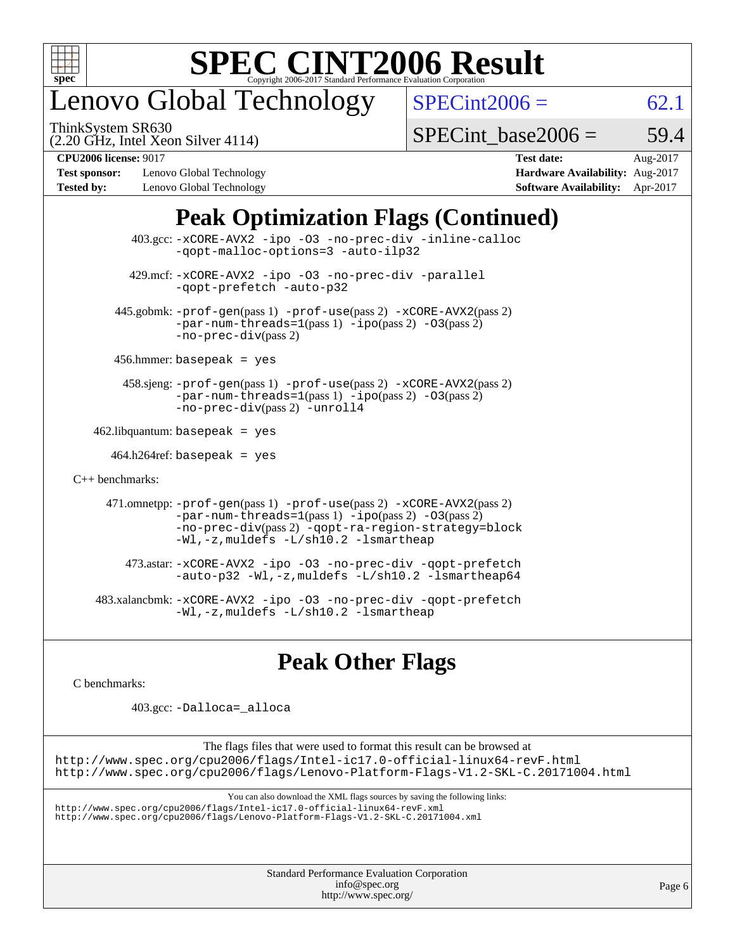

# enovo Global Technology

ThinkSystem SR630

 $SPECint2006 = 62.1$  $SPECint2006 = 62.1$ 

(2.20 GHz, Intel Xeon Silver 4114)

SPECint base2006 =  $59.4$ 

**[Test sponsor:](http://www.spec.org/auto/cpu2006/Docs/result-fields.html#Testsponsor)** Lenovo Global Technology **[Hardware Availability:](http://www.spec.org/auto/cpu2006/Docs/result-fields.html#HardwareAvailability)** Aug-2017 **[Tested by:](http://www.spec.org/auto/cpu2006/Docs/result-fields.html#Testedby)** Lenovo Global Technology **[Software Availability:](http://www.spec.org/auto/cpu2006/Docs/result-fields.html#SoftwareAvailability)** Apr-2017

**[CPU2006 license:](http://www.spec.org/auto/cpu2006/Docs/result-fields.html#CPU2006license)** 9017 **[Test date:](http://www.spec.org/auto/cpu2006/Docs/result-fields.html#Testdate)** Aug-2017

### **[Peak Optimization Flags \(Continued\)](http://www.spec.org/auto/cpu2006/Docs/result-fields.html#PeakOptimizationFlags)**

|                      | 403.gcc: -xCORE-AVX2 -ipo -03 -no-prec-div -inline-calloc<br>-gopt-malloc-options=3 -auto-ilp32                                                                                                                                                 |
|----------------------|-------------------------------------------------------------------------------------------------------------------------------------------------------------------------------------------------------------------------------------------------|
|                      | 429.mcf: -xCORE-AVX2 -ipo -03 -no-prec-div -parallel<br>-gopt-prefetch -auto-p32                                                                                                                                                                |
|                      | $445$ .gobmk: $-prof-gen(pass 1)$ $-prof-use(pass 2)$ $-xCORE-AVX2(pass 2)$<br>$-par-num-threads=1(pass 1) -ipo(pass 2) -03(pass 2)$<br>$-no-prec-div(pass 2)$                                                                                  |
|                      | $456.$ hmmer: basepeak = yes                                                                                                                                                                                                                    |
|                      | 458.sjeng: -prof-gen(pass 1) -prof-use(pass 2) -xCORE-AVX2(pass 2)<br>$-par-num-threads=1(pass 1) -ipo(pass 2) -03(pass 2)$<br>-no-prec-div(pass 2) -unroll4                                                                                    |
|                      | $462$ .libquantum: basepeak = yes                                                                                                                                                                                                               |
|                      | $464.h264$ ref: basepeak = yes                                                                                                                                                                                                                  |
| $C_{++}$ benchmarks: |                                                                                                                                                                                                                                                 |
|                      | 471.omnetpp: -prof-gen(pass 1) -prof-use(pass 2) -xCORE-AVX2(pass 2)<br>$-par-num-threads=1(pass 1) -ipo(pass 2) -03(pass 2)$<br>-no-prec-div(pass 2) -qopt-ra-region-strategy=block<br>$-Wl$ , $-z$ , muldefs $-L/\nabla L$ , 2 $-l$ smartheap |
|                      | 473.astar: -xCORE-AVX2 -ipo -03 -no-prec-div -qopt-prefetch<br>$-$ auto-p32 -Wl,-z, muldefs -L/sh10.2 -lsmartheap64                                                                                                                             |
|                      | 483.xalancbmk: -xCORE-AVX2 -ipo -03 -no-prec-div -qopt-prefetch<br>$-Wl$ , $-z$ , muldefs $-L/\nabla L$ , 2 $-l$ smartheap                                                                                                                      |

### **[Peak Other Flags](http://www.spec.org/auto/cpu2006/Docs/result-fields.html#PeakOtherFlags)**

[C benchmarks](http://www.spec.org/auto/cpu2006/Docs/result-fields.html#Cbenchmarks):

403.gcc: [-Dalloca=\\_alloca](http://www.spec.org/cpu2006/results/res2017q4/cpu2006-20170918-49470.flags.html#b403.gcc_peakEXTRA_CFLAGS_Dalloca_be3056838c12de2578596ca5467af7f3)

The flags files that were used to format this result can be browsed at <http://www.spec.org/cpu2006/flags/Intel-ic17.0-official-linux64-revF.html> <http://www.spec.org/cpu2006/flags/Lenovo-Platform-Flags-V1.2-SKL-C.20171004.html>

You can also download the XML flags sources by saving the following links:

<http://www.spec.org/cpu2006/flags/Intel-ic17.0-official-linux64-revF.xml> <http://www.spec.org/cpu2006/flags/Lenovo-Platform-Flags-V1.2-SKL-C.20171004.xml>